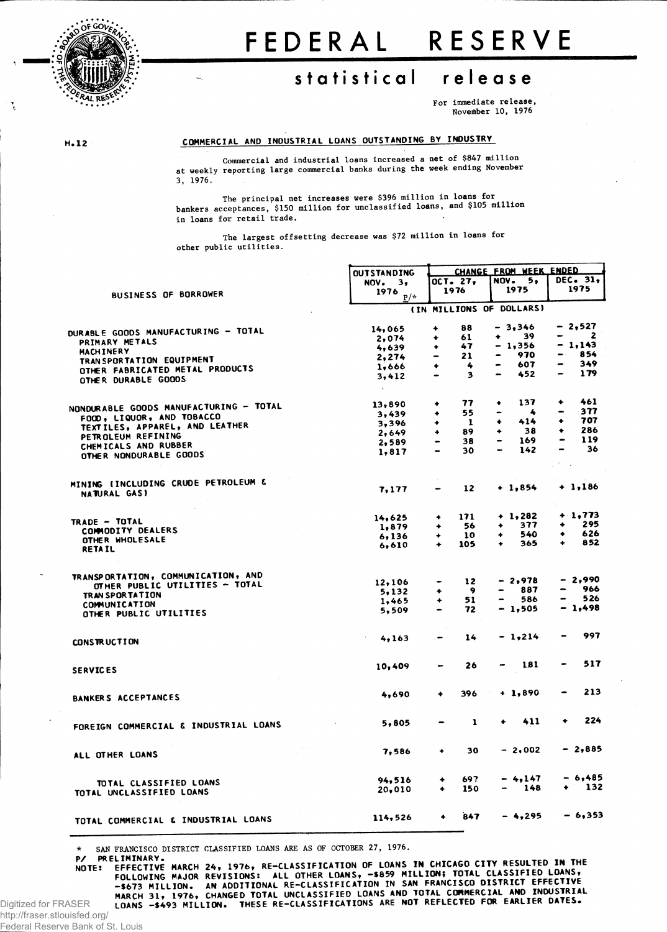

# FEDERAL RESERVE

## statistical release

For immediate release, November 10, 1976

 $H.12$ 

#### COMMERCIAL AND INDUSTRIAL LOANS OUTSTANDING BY INDUSTRY

Commercial and industrial loans increased a net of \$847 million at weekly reporting large commercial banks during the week ending November 3, 1976.

The principal net increases were \$396 million in loans for bankers acceptances, \$150 million for unclassified loans, and \$105 million in loans for retail trade.

The largest offsetting decrease was \$72 million in loans for other public utilities.

|                                        | <b>OUTSTANDING</b> |                                                                                                                                                   |          | CHANGE FROM WEEK ENDED              |                                     |  |
|----------------------------------------|--------------------|---------------------------------------------------------------------------------------------------------------------------------------------------|----------|-------------------------------------|-------------------------------------|--|
|                                        | NOV.<br>з,         |                                                                                                                                                   | OCT. 27, | NOV.<br>5,                          | <b>DEC. 31,</b>                     |  |
| <b>BUSINESS OF BORROWER</b>            | 1976               |                                                                                                                                                   | 1976     | 1975                                | 1975                                |  |
|                                        | $\mathbb{P}/\star$ |                                                                                                                                                   |          |                                     |                                     |  |
|                                        |                    |                                                                                                                                                   |          | (IN MILLIONS OF DOLLARS)            |                                     |  |
|                                        | 14,065             | ۰                                                                                                                                                 | 88       | $-3,346$                            | - 2,527                             |  |
| DURABLE GOODS MANUFACTURING - TOTAL    | 2,074              | ٠                                                                                                                                                 | 61       | 39<br>۰                             | $\mathbf{z}$<br>– −                 |  |
| PRIMARY METALS                         | 4,639              |                                                                                                                                                   | 47       | $-1,356$                            | - 1,143                             |  |
| MACHINERY                              | 2,274              |                                                                                                                                                   | 21       | 970<br>$\bullet$                    | 854<br>$\bullet$ .                  |  |
| TRAN SPORTATION EQUIPMENT              | 1,666              | ٠                                                                                                                                                 | 4        | 607                                 | 349                                 |  |
| OTHER FABRICATED METAL PRODUCTS        |                    |                                                                                                                                                   | 3        | 452<br>-                            | 179<br>$\overline{ }$               |  |
| OTHER DURABLE GOODS                    | 3,412<br>$\sim$    |                                                                                                                                                   |          |                                     |                                     |  |
|                                        |                    |                                                                                                                                                   | 77       | 137<br>٠                            | 461<br>۰                            |  |
| NONDURABLE GOODS MANUFACTURING - TOTAL | 13,890             | ۰                                                                                                                                                 |          | 4<br>-                              | 377<br>$\overline{\phantom{m}}$     |  |
| FOOD, LIQUOR, AND TOBACCO              | 3,439              | ٠                                                                                                                                                 | 55       | 414                                 | 707<br>٠                            |  |
| TEXTILES, APPAREL, AND LEATHER         | 3.396              | ۰                                                                                                                                                 | -1       | ۰                                   | 286                                 |  |
| PETROLEUM REFINING                     | 2,649              | ۰                                                                                                                                                 | 89       | 38<br>۰                             | ٠                                   |  |
| CHEMICALS AND RUBBER                   | 2,589              | $\qquad \qquad \blacksquare$                                                                                                                      | 38       | 169<br>-                            | 119<br>$\qquad \qquad \blacksquare$ |  |
| OTHER NONDURABLE GOODS                 | 1,817              | $\bullet$                                                                                                                                         | 30       | 142<br>$\qquad \qquad \blacksquare$ | 36<br>-                             |  |
|                                        |                    |                                                                                                                                                   |          |                                     |                                     |  |
| MINING (INCLUDING CRUDE PETROLEUM &    |                    |                                                                                                                                                   | 12       | $+1,854$                            | $+ 1,186$                           |  |
| NATURAL GAS)                           | 7,177              |                                                                                                                                                   |          |                                     |                                     |  |
|                                        | 14,625             | ۰                                                                                                                                                 | 171      | $+ 1,282$                           | $+1,773$                            |  |
| TRADE - TOTAL                          | 1,879              | ۰                                                                                                                                                 | 56       | 377                                 | 295<br>٠                            |  |
| COMMODITY DEALERS                      |                    | ٠                                                                                                                                                 | 10       | 540<br>۰                            | 626<br>٠                            |  |
| OTHER WHOLESALE                        | 6,136              | ٠                                                                                                                                                 | 105      | 365<br>٠                            | 852<br>۰                            |  |
| <b>RETAIL</b>                          | 6,610              |                                                                                                                                                   |          |                                     |                                     |  |
|                                        |                    |                                                                                                                                                   |          |                                     |                                     |  |
| TRANSPORTATION, COMMUNICATION, AND     | 12,106             | $\hbox{\small -}$                                                                                                                                 | 12       | $-2,978$                            | - 2,990                             |  |
| OTHER PUBLIC UTILITIES - TOTAL         | 5,132              | ۰                                                                                                                                                 | - 9      | 887                                 | 966                                 |  |
| TRAN SPORTATION                        | 1,465              | ۰                                                                                                                                                 | 51       | 586                                 | 526<br>-                            |  |
| COMMUNICATION                          | 5,509              | $\bullet$                                                                                                                                         | 72       | $-1,505$                            | $-1,498$                            |  |
| OTHER PUBLIC UTILITIES                 |                    |                                                                                                                                                   |          |                                     |                                     |  |
|                                        | 4,163              | $\hskip1.6pt\hskip1.6pt\hskip1.6pt\hskip1.6pt\hskip1.6pt\hskip1.6pt\hskip1.6pt\hskip1.6pt\hskip1.6pt\hskip1.6pt\hskip1.6pt\hskip1.6pt\hskip1.6pt$ | 14       | $-1,214$                            | 997                                 |  |
| CONSTRUCTION                           |                    |                                                                                                                                                   |          |                                     |                                     |  |
| <b>SERVICES</b>                        | 10,409             |                                                                                                                                                   | 26       | 181<br>-                            | 517                                 |  |
|                                        |                    |                                                                                                                                                   |          |                                     |                                     |  |
| <b>BANKERS ACCEPTANCES</b>             | 4,690              | ۰                                                                                                                                                 | 396      | $+1,890$                            | 213                                 |  |
|                                        |                    |                                                                                                                                                   |          |                                     |                                     |  |
| FOREIGN COMMERCIAL & INDUSTRIAL LOANS  | 5,805              |                                                                                                                                                   | 1        | 411<br>٠                            | 224                                 |  |
|                                        |                    |                                                                                                                                                   |          |                                     |                                     |  |
| ALL OTHER LOANS                        | 7,586              | ٠                                                                                                                                                 | 30       | $-2,002$                            | $-2,885$                            |  |
|                                        |                    |                                                                                                                                                   |          |                                     |                                     |  |
| TOTAL CLASSIFIED LOANS                 | 94,516             | ۰                                                                                                                                                 | 697      | $-4,147$                            | $-6,485$                            |  |
| TOTAL UNCLASSIFIED LOANS               | 20,010             | ۰                                                                                                                                                 | 150      | 148                                 | - 132                               |  |
|                                        |                    |                                                                                                                                                   |          |                                     |                                     |  |
| TOTAL COMMERCIAL & INDUSTRIAL LOANS    | 114,526            | ٠                                                                                                                                                 | 847      | $-4,295$                            | $-6,353$                            |  |
|                                        |                    |                                                                                                                                                   |          |                                     |                                     |  |

SAN FRANCISCO DISTRICT CLASSIFIED LOANS ARE AS OF OCTOBER 27, 1976.

 $P/$ PRELIMINARY.

EFFECTIVE MARCH 24, 1976, RE-CLASSIFICATION OF LOANS IN CHICAGO CITY RESULTED IN THE ETTELING MAJOR REVISIONS: ALL OTHER LOANS, -\$859 MILLION; TOTAL CLASSIFIED LOANS, -\$673 MILLION. AN ADDITIONAL RE-CLASSIFICATION IN SAN FRANCISCO DISTRICT EFFECTIVE<br>-\$673 MILLION. AN ADDITIONAL RE-CLASSIFICATION IN SAN FRA **NOTE:** 

Digitized for FRASER http://fraser.stlouisfed.org/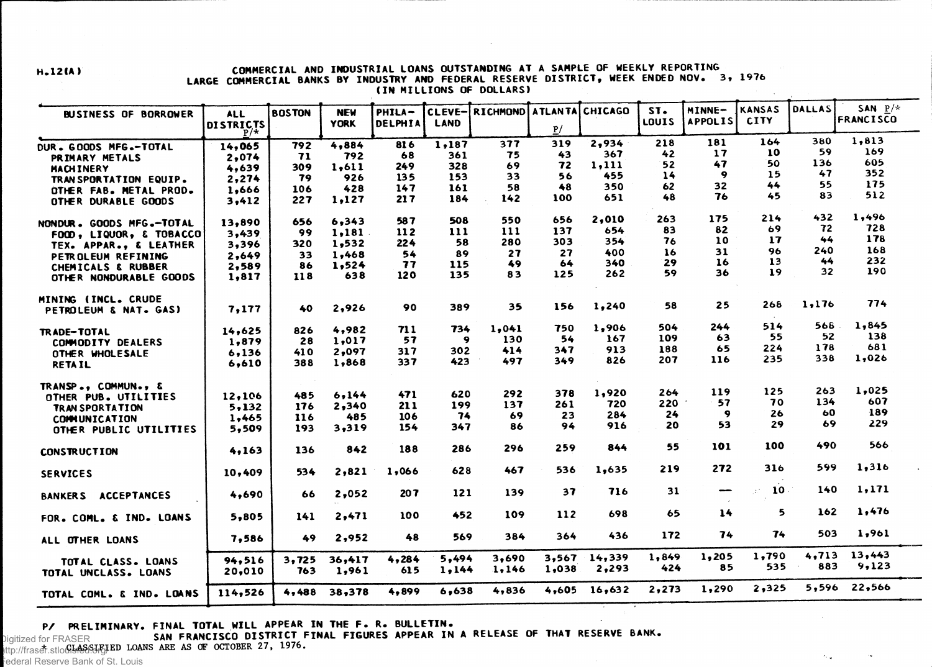#### **H.12IA) COMMERCIAL AND INDUSTRIAL LOANS OUTSTANDING AT A SAMPLE OF WEEKLY REPORTING LARGE COMMERCIAL BANKS BY INDUSTRY AND FEDERAL RESERVE DISTRICT, WEEK ENDED NOV. 3, 197 6 (IN MILLIONS OF DOLLARS)**

| <b>BUSINESS OF BORROWER</b>                | <b>ALL</b>                | <b>BOSTON</b> | <b>NEW</b>      | PHILA-       | CLEVE-         | RICHMOND ATLANTA CHICAGO |       |            | ST <sub>o</sub> | MINNE-         | <b>KANSAS</b> | <b>DALLAS</b> | SAN $P/*$        |
|--------------------------------------------|---------------------------|---------------|-----------------|--------------|----------------|--------------------------|-------|------------|-----------------|----------------|---------------|---------------|------------------|
|                                            | <b>DISTRICTS</b><br>$P/*$ |               | <b>YORK</b>     | DELPHIA      | <b>LAND</b>    |                          | P/    |            | <b>LOUIS</b>    | <b>APPOLIS</b> | <b>CITY</b>   |               | <b>FRANCISCO</b> |
| DUR. GOODS MFG.-TOTAL                      | 14,065                    | 792           | 4,884           | 816          | 1,187          | 377                      | 319   | 2,934      | 218             | 181            | 164           | 380           | 1,813            |
| PRIMARY METALS                             | 2,074                     | 71            | 792             | 68           | 361            | 75                       | 43    | 367        | 42              | 17             | 10            | 59            | 169              |
| <b>MACHINERY</b>                           | 4,639                     | 309           | 1,611           | 249          | 328            | 69                       | 72    | 1,111      | 52              | 47             | 50            | 136           | 605              |
| TRAN SPORTATION EQUIP.                     | 2,274                     | 79            | 926             | 135          | 153            | 33                       | 56    | 455        | 14              | 9              | 15            | 47            | 352              |
| OTHER FAB. METAL PROD.                     | 1,666                     | 106           | 428             | 147          | 161            | 58                       | 48    | 350        | 62              | 32             | 44            | 55            | 175              |
| OTHER DURABLE GOODS                        | 3,412                     | 227           | 1,127           | 217          | 184            | 142                      | 100   | 651        | 48              | 76             | 45            | 83            | 512              |
| NONDUR. GOODS MFG.-TOTAL                   | 13,890                    | 656           | 6.343           | 587          | 508            | 550                      | 656   | 2,010      | 263             | 175            | 214           | 432           | 1,496            |
| FOCD, LIQUOR, & TOBACCO                    | 3,439                     | 99            | 1,181           | 112          | 111            | 111                      | 137   | 654        | 83              | 82             | 69            | 72            | 728              |
| TEX. APPAR., & LEATHER                     | 3,396                     | 320           | 1,532           | 224          | 58             | 280                      | 303   | 354        | 76              | 10             | 17            | 44            | 178              |
| PETROLEUM REFINING                         | 2,649                     | 33            | 1,468           | 54           | 89             | 27                       | 27    | 400        | 16              | 31             | 96            | 240           | 168<br>232       |
| <b>CHEMICALS &amp; RUBBER</b>              | 2,589                     | 86            | 1,524           | 77           | 115            | 49                       | 64    | 340        | 29              | 16             | 13            | 44<br>32      | 190              |
| OTHER NONDURABLE GOODS                     | 1,817                     | 118           | 638             | 120          | 135            | 83                       | 125   | 262        | 59              | 36             | 19            |               |                  |
| MINING (INCL. CRUDE                        |                           |               |                 |              |                |                          |       |            | 58              | 25             | 268           | 1,176         | 774              |
| <b>PETROLEUM &amp; NAT. GAS)</b>           | 7,177                     | 40            | 2,926           | 90           | 389            | 35                       | 156   | 1,240      |                 |                |               |               |                  |
| <b>TRADE-TOTAL</b>                         | 14,625                    | 826           | 4,982           | 711          | 734            | 1,041                    | 750   | 1,906      | 504             | 244            | 514           | 568           | 1,845            |
| <b>COMMODITY DEALERS</b>                   | 1,879                     | 28            | 1,017           | 57           | 9              | 130                      | 54    | 167        | 109             | 63             | 55            | 52            | 138              |
| OTHER WHOLESALE                            | 6,136                     | 410           | 2,097           | 317          | 302            | 414                      | 347   | 913        | 188             | 65             | 224           | 178           | 681              |
| <b>RETAIL</b>                              | 6,610                     | 388           | 1,868           | 337          | 423            | 497                      | 349   | 826        | 207             | 116            | 235           | 338           | 1,026            |
| TRANSP., COMMUN., &                        |                           |               |                 |              |                |                          |       |            |                 | 119            | 125           | 263           | 1,025            |
| OTHER PUB. UTILITIES                       | 12,106                    | 485           | 6,144           | 471          | 620            | 292                      | 378   | 1,920      | 264<br>220      | $-57$          | 70            | 134           | 607              |
| <b>TRAN SPORTATION</b>                     | 5,132                     | 176           | 2,340           | 211          | 199            | 137                      | 261   | 720<br>284 | 24              | 9              | 26            | 60            | 189              |
| <b>COMMUNICATION</b>                       | 1,465                     | 116           | 485             | 106          | 74             | 69                       | 23    | 916        | 20              | 53             | 29            | 69            | 229              |
| OTHER PUBLIC UTILITIES                     | 5,509                     | 193           | 3,319           | 154          | 347            | 86                       | 94    |            |                 |                |               |               |                  |
| <b>CONSTRUCTION</b>                        | 4,163                     | 136           | 842             | 188          | 286            | 296                      | 259   | 844        | 55              | 101            | 100           | 490           | 566              |
| <b>SERVICES</b>                            | 10,409                    | 534           | 2,821           | 1,066        | 628            | 467                      | 536   | 1,635      | 219             | 272            | 316           | 599           | 1,316            |
| <b>ACCEPTANCES</b><br><b>BANKERS</b>       | 4,690                     | 66            | 2,052           | 207          | 121            | 139                      | 37    | 716        | 31              | --             | 10<br>χŕ.     | 140           | 1,171            |
| FOR. COML. & IND. LOANS                    | 5,805                     | 141           | 2,471           | 100          | 452            | 109                      | 112   | 698        | 65              | 14             | 5.            | 162           | 1,476            |
| ALL OTHER LOANS                            | 7,586                     | 49            | 2,952           | 48           | 569            | 384                      | 364   | 436        | 172             | 74             | 74            | 503           | 1,961            |
|                                            |                           |               |                 |              |                |                          | 3,567 | 14,339     | 1,849           | 1,205          | 1,790         | 4,713         | 13,443           |
| TOTAL CLASS. LOANS<br>TOTAL UNCLASS. LOANS | 94,516<br>20,010          | 3,725<br>763  | 36,417<br>1,961 | 4,284<br>615 | 5,494<br>1,144 | 3,690<br>1,146           | 1,038 | 2,293      | 424             | 85             | 535           | 883           | 9,123            |
| TOTAL COML. & IND. LOANS                   | 114,526                   | 4,488         | 38,378          | 4,899        | 6,638          | 4,836                    | 4,605 | 16,632     | 2,273           | 1,290          | 2,325         | 5,596         | 22,566           |

 $\sim$   $_{\star}$ 

**P/ PRELIMINARY. FINAL TOTAL WILL APPEAR IN THE F. R. BULLETIN. -**

**SAN FRANCISCO DISTRICT FINAL FIGURES APPEAR IN A RELEASE OF THAT RESERVE BANK.**

**EXAMPLES OF FRASER SAN PRANCISCO DISTRICT F**<br>Ittn://frasaf.stlo.GLASSIFIED LOANS ARE AS OF OCTOBER 27, 1976. http://fraser.stlouisfed.org/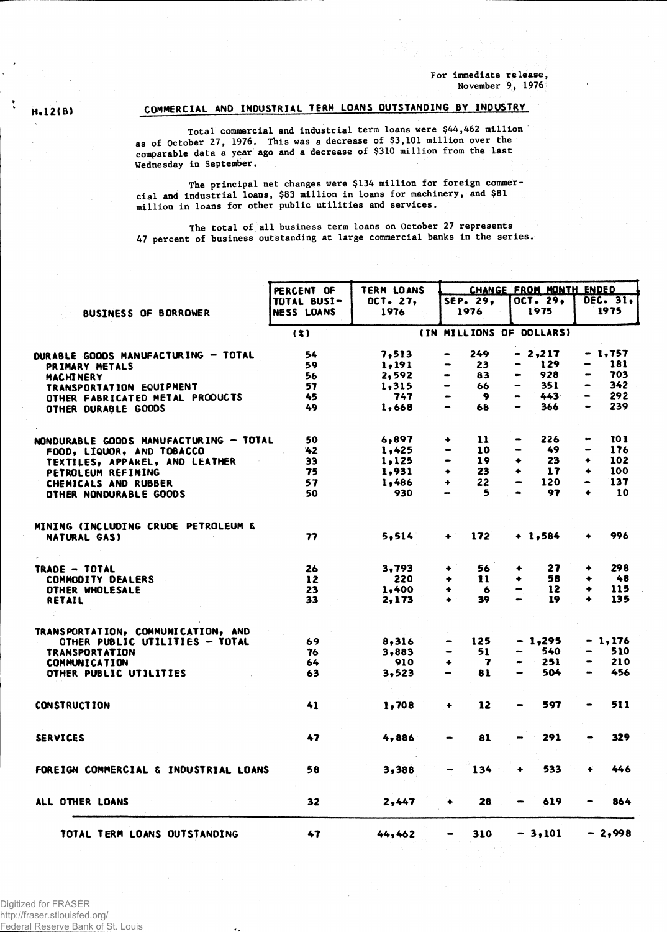**For immediate release, November 9, 1976**

### **H.12CB) COMMERCIAL AND INDUSTRIAL TERM LOANS OUTSTANDING BY INDUSTRY**

**Total commercial and industrial term loans were \$44,462 million ' as of October 27, 1976. This was a decrease of \$3,101 million over the comparable data a year ago and a decrease of \$310 million from the last Wednesday in September.**

**The principal net changes were \$134 million for foreign commercial and industrial loans, \$83 million in loans for machinery, and \$81 million in loans for other public utilities and services.**

**The total of all business term loans on October 27 represents** 47 **percent of business outstanding at large commercial banks in the series.**

|                                        | PERCENT OF        | <b>TERM LOANS</b> | CHANGE FROM MONTH ENDED        |                       |                       |  |  |  |  |  |
|----------------------------------------|-------------------|-------------------|--------------------------------|-----------------------|-----------------------|--|--|--|--|--|
|                                        | TOTAL BUSI-       | OCT. 27,          | SEP. 29,                       | OCT. 29,              | DEC. 31,              |  |  |  |  |  |
| <b>BUSINESS OF BORROWER</b>            | <b>NESS LOANS</b> | 1976              | 1976                           | 1975                  | 1975                  |  |  |  |  |  |
|                                        | (3)               |                   | (IN MILLIONS OF DOLLARS)       |                       |                       |  |  |  |  |  |
| DURABLE GOODS MANUFACTURING - TOTAL    | 54                | 7,513             | 249                            | - 2,217               | - 1,757               |  |  |  |  |  |
| PRIMARY METALS                         | 59                | 1,191             | 23<br>-                        | 129                   | 181                   |  |  |  |  |  |
| <b>MACHINERY</b>                       | 56                | 2,592             | 83<br>$\blacksquare$           | 928<br>-              | 703                   |  |  |  |  |  |
| TRANSPORTATION EQUIPMENT               | 57                | 1,315             | 66<br>$\blacksquare$           | 351                   | 342                   |  |  |  |  |  |
| OTHER FABRICATED METAL PRODUCTS        | 45                | 747               | 9<br>$\blacksquare$            | 443<br>$\blacksquare$ | 292<br>$\rightarrow$  |  |  |  |  |  |
| OTHER DURABLE GOODS                    | 49                | 1,668             | 68                             | 366                   | 239<br>-              |  |  |  |  |  |
| NONDURABLE GOODS MANUFACTURING - TOTAL | 50                | 6,897             | 11<br>۰                        | 226                   | 101<br>$\blacksquare$ |  |  |  |  |  |
| FOOD, LIQUOR, AND TOBACCO              | 42                | 1,425             | 10                             | 49                    | 176<br>-              |  |  |  |  |  |
| TEXTILES, APPAREL, AND LEATHER         | 33                | 1,125             | 19<br>$\bullet$                | 23<br>۰               | 102<br>۰              |  |  |  |  |  |
| PETROLEUM REFINING                     | 75                | 1,931             | $\ddotmark$<br>23              | 17<br>۰               | 100<br>٠              |  |  |  |  |  |
| CHEMICALS AND RUBBER                   | 57                | 1,486             | 22<br>$\ddotmark$              | 120                   | 137                   |  |  |  |  |  |
| <b>OTHER NONDURABLE GOODS</b>          | 50                | 930               | 5<br>$\rightarrow$             | 97                    | 10<br>٠               |  |  |  |  |  |
| MINING (INCLUDING CRUDE PETROLEUM &    |                   |                   |                                |                       |                       |  |  |  |  |  |
| NATURAL GAS)                           | 77                | 5,514             | 172                            | $+ 1,584$             | 996                   |  |  |  |  |  |
| TRADE - TOTAL                          | 26                | 3,793             | 56<br>۰                        | 27<br>٠               | 298<br>۰              |  |  |  |  |  |
| <b>COMMODITY DEALERS</b>               | 12                | 220               | 11<br>٠                        | 58<br>۰               | 48<br>٠               |  |  |  |  |  |
| OTHER WHOLESALE                        | 23                | 1,400             | ٠<br>6                         | 12<br>-               | 115<br>٠              |  |  |  |  |  |
| RETAIL                                 | 33                | 2,173             | 39<br>٠                        | 19                    | 135<br>٠              |  |  |  |  |  |
| TRANSPORTATION, COMMUNICATION, AND     |                   |                   |                                |                       |                       |  |  |  |  |  |
| OTHER PUBLIC UTILITIES - TOTAL         | 69                | 8,316             | 125                            | $-1,295$              | - 1,176               |  |  |  |  |  |
| <b>TRANSPORTATION</b>                  | 76                | 3.883             | 51<br>$\overline{\phantom{0}}$ | 540                   | 510<br>-              |  |  |  |  |  |
| <b>COMMUNICATION</b>                   | 64                | 910               | $\ddotmark$<br>7               | 251                   | 210<br>-              |  |  |  |  |  |
| OTHER PUBLIC UTILITIES                 | 63                | 3,523             | 81                             | 504<br>-              | 456<br>$\blacksquare$ |  |  |  |  |  |
| <b>CONSTRUCTION</b>                    | 41                | 1,708             | 12<br>۰                        | 597                   | 511                   |  |  |  |  |  |
| <b>SERVICES</b>                        | 47                | 4,886             | 81                             | 291                   | 329                   |  |  |  |  |  |
| FOREIGN COMMERCIAL & INDUSTRIAL LOANS  | 58                | 3,388             | 134                            | 533<br>۰              | 446                   |  |  |  |  |  |
| ALL OTHER LOANS                        | 32                | 2,447             | 28<br>۰                        | 619                   | 864                   |  |  |  |  |  |
| TOTAL TERM LOANS OUTSTANDING           | 47                | 44,462            | 310                            | $-3,101$              | $-2,998$              |  |  |  |  |  |